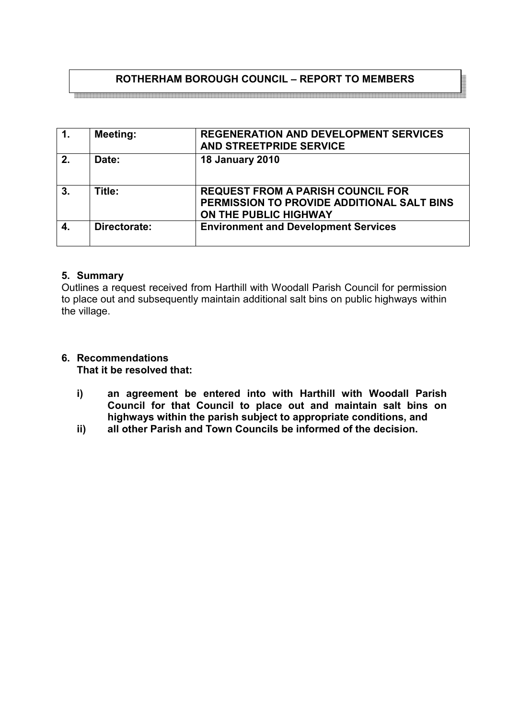## **ROTHERHAM BOROUGH COUNCIL – REPORT TO MEMBERS**

| $\overline{1}$ . | <b>Meeting:</b> | <b>REGENERATION AND DEVELOPMENT SERVICES</b><br>AND STREETPRIDE SERVICE                                         |
|------------------|-----------------|-----------------------------------------------------------------------------------------------------------------|
| 2.               | Date:           | <b>18 January 2010</b>                                                                                          |
| 3.               | Title:          | <b>REQUEST FROM A PARISH COUNCIL FOR</b><br>PERMISSION TO PROVIDE ADDITIONAL SALT BINS<br>ON THE PUBLIC HIGHWAY |
| 4.               | Directorate:    | <b>Environment and Development Services</b>                                                                     |

## **5. Summary**

Outlines a request received from Harthill with Woodall Parish Council for permission to place out and subsequently maintain additional salt bins on public highways within the village.

# **6. Recommendations**

**That it be resolved that:** 

- **i) an agreement be entered into with Harthill with Woodall Parish Council for that Council to place out and maintain salt bins on highways within the parish subject to appropriate conditions, and**
- **ii) all other Parish and Town Councils be informed of the decision.**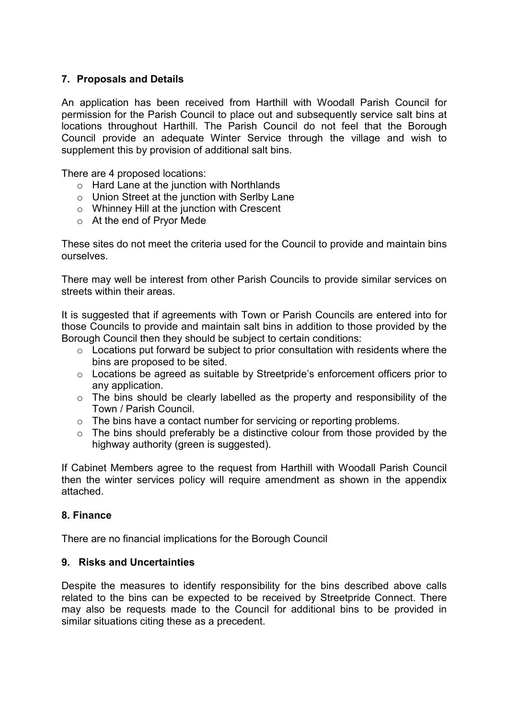## **7. Proposals and Details**

An application has been received from Harthill with Woodall Parish Council for permission for the Parish Council to place out and subsequently service salt bins at locations throughout Harthill. The Parish Council do not feel that the Borough Council provide an adequate Winter Service through the village and wish to supplement this by provision of additional salt bins.

There are 4 proposed locations:

- o Hard Lane at the junction with Northlands
- o Union Street at the junction with Serlby Lane
- o Whinney Hill at the junction with Crescent
- o At the end of Pryor Mede

These sites do not meet the criteria used for the Council to provide and maintain bins ourselves.

There may well be interest from other Parish Councils to provide similar services on streets within their areas.

It is suggested that if agreements with Town or Parish Councils are entered into for those Councils to provide and maintain salt bins in addition to those provided by the Borough Council then they should be subject to certain conditions:

- $\circ$  Locations put forward be subject to prior consultation with residents where the bins are proposed to be sited.
- $\circ$  Locations be agreed as suitable by Streetpride's enforcement officers prior to any application.
- o The bins should be clearly labelled as the property and responsibility of the Town / Parish Council.
- o The bins have a contact number for servicing or reporting problems.
- $\circ$  The bins should preferably be a distinctive colour from those provided by the highway authority (green is suggested).

If Cabinet Members agree to the request from Harthill with Woodall Parish Council then the winter services policy will require amendment as shown in the appendix attached.

#### **8. Finance**

There are no financial implications for the Borough Council

#### **9. Risks and Uncertainties**

Despite the measures to identify responsibility for the bins described above calls related to the bins can be expected to be received by Streetpride Connect. There may also be requests made to the Council for additional bins to be provided in similar situations citing these as a precedent.